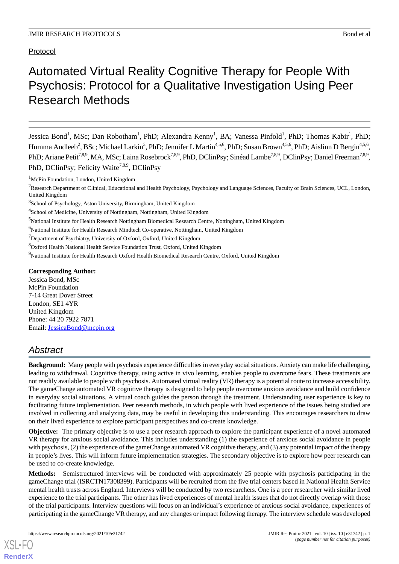#### Protocol

# Automated Virtual Reality Cognitive Therapy for People With Psychosis: Protocol for a Qualitative Investigation Using Peer Research Methods

Jessica Bond<sup>1</sup>, MSc; Dan Robotham<sup>1</sup>, PhD; Alexandra Kenny<sup>1</sup>, BA; Vanessa Pinfold<sup>1</sup>, PhD; Thomas Kabir<sup>1</sup>, PhD; Humma Andleeb<sup>2</sup>, BSc; Michael Larkin<sup>3</sup>, PhD; Jennifer L Martin<sup>4,5,6</sup>, PhD; Susan Brown<sup>4,5,6</sup>, PhD; Aislinn D Bergin<sup>4,5,6</sup>, PhD; Ariane Petit<sup>7,8,9</sup>, MA, MSc; Laina Rosebrock<sup>7,8,9</sup>, PhD, DClinPsy; Sinéad Lambe<sup>7,8,9</sup>, DClinPsy; Daniel Freeman<sup>7,8,9</sup>, PhD, DClinPsy; Felicity Waite<sup>7,8,9</sup>, DClinPsy

<sup>1</sup>McPin Foundation, London, United Kingdom

<sup>5</sup>National Institute for Health Research Nottingham Biomedical Research Centre, Nottingham, United Kingdom

<sup>8</sup>Oxford Health National Health Service Foundation Trust, Oxford, United Kingdom

#### **Corresponding Author:**

Jessica Bond, MSc McPin Foundation 7-14 Great Dover Street London, SE1 4YR United Kingdom Phone: 44 20 7922 7871 Email: [JessicaBond@mcpin.org](mailto:JessicaBond@mcpin.org)

# *Abstract*

**Background:** Many people with psychosis experience difficulties in everyday social situations. Anxiety can make life challenging, leading to withdrawal. Cognitive therapy, using active in vivo learning, enables people to overcome fears. These treatments are not readily available to people with psychosis. Automated virtual reality (VR) therapy is a potential route to increase accessibility. The gameChange automated VR cognitive therapy is designed to help people overcome anxious avoidance and build confidence in everyday social situations. A virtual coach guides the person through the treatment. Understanding user experience is key to facilitating future implementation. Peer research methods, in which people with lived experience of the issues being studied are involved in collecting and analyzing data, may be useful in developing this understanding. This encourages researchers to draw on their lived experience to explore participant perspectives and co-create knowledge.

**Objective:** The primary objective is to use a peer research approach to explore the participant experience of a novel automated VR therapy for anxious social avoidance. This includes understanding (1) the experience of anxious social avoidance in people with psychosis, (2) the experience of the gameChange automated VR cognitive therapy, and (3) any potential impact of the therapy in people's lives. This will inform future implementation strategies. The secondary objective is to explore how peer research can be used to co-create knowledge.

**Methods:** Semistructured interviews will be conducted with approximately 25 people with psychosis participating in the gameChange trial (ISRCTN17308399). Participants will be recruited from the five trial centers based in National Health Service mental health trusts across England. Interviews will be conducted by two researchers. One is a peer researcher with similar lived experience to the trial participants. The other has lived experiences of mental health issues that do not directly overlap with those of the trial participants. Interview questions will focus on an individual's experience of anxious social avoidance, experiences of participating in the gameChange VR therapy, and any changes or impact following therapy. The interview schedule was developed

[XSL](http://www.w3.org/Style/XSL)•FO **[RenderX](http://www.renderx.com/)**

<sup>&</sup>lt;sup>2</sup>Research Department of Clinical, Educational and Health Psychology, Psychology and Language Sciences, Faculty of Brain Sciences, UCL, London, United Kingdom

<sup>&</sup>lt;sup>3</sup>School of Psychology, Aston University, Birmingham, United Kingdom

<sup>&</sup>lt;sup>4</sup>School of Medicine, University of Nottingham, Nottingham, United Kingdom

<sup>&</sup>lt;sup>6</sup>National Institute for Health Research Mindtech Co-operative, Nottingham, United Kingdom

 $7$ Department of Psychiatry, University of Oxford, Oxford, United Kingdom

<sup>9</sup>National Institute for Health Research Oxford Health Biomedical Research Centre, Oxford, United Kingdom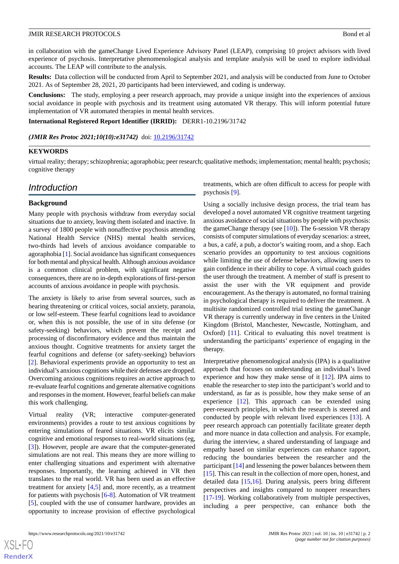in collaboration with the gameChange Lived Experience Advisory Panel (LEAP), comprising 10 project advisors with lived experience of psychosis. Interpretative phenomenological analysis and template analysis will be used to explore individual accounts. The LEAP will contribute to the analysis.

**Results:** Data collection will be conducted from April to September 2021, and analysis will be conducted from June to October 2021. As of September 28, 2021, 20 participants had been interviewed, and coding is underway.

**Conclusions:** The study, employing a peer research approach, may provide a unique insight into the experiences of anxious social avoidance in people with psychosis and its treatment using automated VR therapy. This will inform potential future implementation of VR automated therapies in mental health services.

**International Registered Report Identifier (IRRID):** DERR1-10.2196/31742

(JMIR Res Protoc 2021;10(10):e31742) doi: [10.2196/31742](http://dx.doi.org/10.2196/31742)

#### **KEYWORDS**

virtual reality; therapy; schizophrenia; agoraphobia; peer research; qualitative methods; implementation; mental health; psychosis; cognitive therapy

### *Introduction*

#### **Background**

Many people with psychosis withdraw from everyday social situations due to anxiety, leaving them isolated and inactive. In a survey of 1800 people with nonaffective psychosis attending National Health Service (NHS) mental health services, two-thirds had levels of anxious avoidance comparable to agoraphobia [[1\]](#page-5-0). Social avoidance has significant consequences for both mental and physical health. Although anxious avoidance is a common clinical problem, with significant negative consequences, there are no in-depth explorations of first-person accounts of anxious avoidance in people with psychosis.

The anxiety is likely to arise from several sources, such as hearing threatening or critical voices, social anxiety, paranoia, or low self-esteem. These fearful cognitions lead to avoidance or, when this is not possible, the use of in situ defense (or safety-seeking) behaviors, which prevent the receipt and processing of disconfirmatory evidence and thus maintain the anxious thought. Cognitive treatments for anxiety target the fearful cognitions and defense (or safety-seeking) behaviors [[2\]](#page-5-1). Behavioral experiments provide an opportunity to test an individual's anxious cognitions while their defenses are dropped. Overcoming anxious cognitions requires an active approach to re-evaluate fearful cognitions and generate alternative cognitions and responses in the moment. However, fearful beliefs can make this work challenging.

Virtual reality (VR; interactive computer-generated environments) provides a route to test anxious cognitions by entering simulations of feared situations. VR elicits similar cognitive and emotional responses to real-world situations (eg, [[3\]](#page-6-0)). However, people are aware that the computer-generated simulations are not real. This means they are more willing to enter challenging situations and experiment with alternative responses. Importantly, the learning achieved in VR then translates to the real world. VR has been used as an effective treatment for anxiety  $[4,5]$  $[4,5]$  $[4,5]$  and, more recently, as a treatment for patients with psychosis [\[6](#page-6-3)[-8](#page-6-4)]. Automation of VR treatment [[5\]](#page-6-2), coupled with the use of consumer hardware, provides an opportunity to increase provision of effective psychological

treatments, which are often difficult to access for people with psychosis [\[9](#page-6-5)].

Using a socially inclusive design process, the trial team has developed a novel automated VR cognitive treatment targeting anxious avoidance of social situations by people with psychosis: the gameChange therapy (see  $[10]$  $[10]$ ). The 6-session VR therapy consists of computer simulations of everyday scenarios: a street, a bus, a café, a pub, a doctor's waiting room, and a shop. Each scenario provides an opportunity to test anxious cognitions while limiting the use of defense behaviors, allowing users to gain confidence in their ability to cope. A virtual coach guides the user through the treatment. A member of staff is present to assist the user with the VR equipment and provide encouragement. As the therapy is automated, no formal training in psychological therapy is required to deliver the treatment. A multisite randomized controlled trial testing the gameChange VR therapy is currently underway in five centers in the United Kingdom (Bristol, Manchester, Newcastle, Nottingham, and Oxford) [[11\]](#page-6-7). Critical to evaluating this novel treatment is understanding the participants' experience of engaging in the therapy.

Interpretative phenomenological analysis (IPA) is a qualitative approach that focuses on understanding an individual's lived experience and how they make sense of it [\[12](#page-6-8)]. IPA aims to enable the researcher to step into the participant's world and to understand, as far as is possible, how they make sense of an experience [[12\]](#page-6-8). This approach can be extended using peer-research principles, in which the research is steered and conducted by people with relevant lived experiences [\[13](#page-6-9)]. A peer research approach can potentially facilitate greater depth and more nuance in data collection and analysis. For example, during the interview, a shared understanding of language and empathy based on similar experiences can enhance rapport, reducing the boundaries between the researcher and the participant [\[14](#page-6-10)] and lessening the power balances between them [[15\]](#page-6-11). This can result in the collection of more open, honest, and detailed data [[15](#page-6-11)[,16](#page-6-12)]. During analysis, peers bring different perspectives and insights compared to nonpeer researchers [[17](#page-6-13)[-19](#page-6-14)]. Working collaboratively from multiple perspectives, including a peer perspective, can enhance both the

 $XS$  • FO **[RenderX](http://www.renderx.com/)**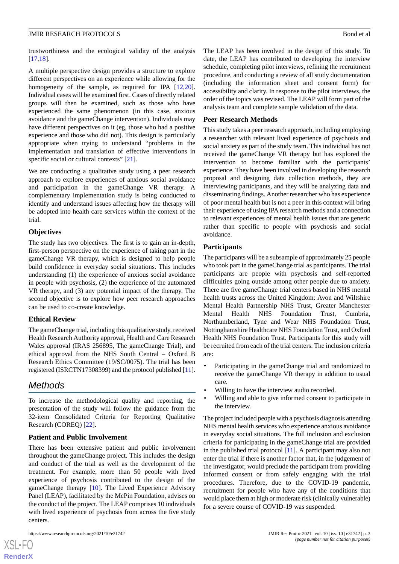trustworthiness and the ecological validity of the analysis [[17](#page-6-13)[,18](#page-6-15)].

A multiple perspective design provides a structure to explore different perspectives on an experience while allowing for the homogeneity of the sample, as required for IPA [\[12](#page-6-8),[20\]](#page-6-16). Individual cases will be examined first. Cases of directly related groups will then be examined, such as those who have experienced the same phenomenon (in this case, anxious avoidance and the gameChange intervention). Individuals may have different perspectives on it (eg, those who had a positive experience and those who did not). This design is particularly appropriate when trying to understand "problems in the implementation and translation of effective interventions in specific social or cultural contexts" [\[21](#page-6-17)].

We are conducting a qualitative study using a peer research approach to explore experiences of anxious social avoidance and participation in the gameChange VR therapy. A complementary implementation study is being conducted to identify and understand issues affecting how the therapy will be adopted into health care services within the context of the trial.

#### **Objectives**

The study has two objectives. The first is to gain an in-depth, first-person perspective on the experience of taking part in the gameChange VR therapy, which is designed to help people build confidence in everyday social situations. This includes understanding (1) the experience of anxious social avoidance in people with psychosis, (2) the experience of the automated VR therapy, and (3) any potential impact of the therapy. The second objective is to explore how peer research approaches can be used to co-create knowledge.

#### **Ethical Review**

The gameChange trial, including this qualitative study, received Health Research Authority approval, Health and Care Research Wales approval (IRAS 256895, The gameChange Trial), and ethical approval from the NHS South Central – Oxford B Research Ethics Committee (19/SC/0075). The trial has been registered (ISRCTN17308399) and the protocol published [[11\]](#page-6-7).

# *Methods*

To increase the methodological quality and reporting, the presentation of the study will follow the guidance from the 32-item Consolidated Criteria for Reporting Qualitative Research (COREQ) [\[22](#page-6-18)].

#### **Patient and Public Involvement**

There has been extensive patient and public involvement throughout the gameChange project. This includes the design and conduct of the trial as well as the development of the treatment. For example, more than 50 people with lived experience of psychosis contributed to the design of the gameChange therapy [[10\]](#page-6-6). The Lived Experience Advisory Panel (LEAP), facilitated by the McPin Foundation, advises on the conduct of the project. The LEAP comprises 10 individuals with lived experience of psychosis from across the five study centers.

[XSL](http://www.w3.org/Style/XSL)•FO **[RenderX](http://www.renderx.com/)** The LEAP has been involved in the design of this study. To date, the LEAP has contributed to developing the interview schedule, completing pilot interviews, refining the recruitment procedure, and conducting a review of all study documentation (including the information sheet and consent form) for accessibility and clarity. In response to the pilot interviews, the order of the topics was revised. The LEAP will form part of the analysis team and complete sample validation of the data.

#### **Peer Research Methods**

This study takes a peer research approach, including employing a researcher with relevant lived experience of psychosis and social anxiety as part of the study team. This individual has not received the gameChange VR therapy but has explored the intervention to become familiar with the participants' experience. They have been involved in developing the research proposal and designing data collection methods, they are interviewing participants, and they will be analyzing data and disseminating findings. Another researcher who has experience of poor mental health but is not a peer in this context will bring their experience of using IPA research methods and a connection to relevant experiences of mental health issues that are generic rather than specific to people with psychosis and social avoidance.

#### **Participants**

The participants will be a subsample of approximately 25 people who took part in the gameChange trial as participants. The trial participants are people with psychosis and self-reported difficulties going outside among other people due to anxiety. There are five gameChange trial centers based in NHS mental health trusts across the United Kingdom: Avon and Wiltshire Mental Health Partnership NHS Trust, Greater Manchester Mental Health NHS Foundation Trust, Cumbria, Northumberland, Tyne and Wear NHS Foundation Trust, Nottinghamshire Healthcare NHS Foundation Trust, and Oxford Health NHS Foundation Trust. Participants for this study will be recruited from each of the trial centers. The inclusion criteria are:

- Participating in the gameChange trial and randomized to receive the gameChange VR therapy in addition to usual care.
- Willing to have the interview audio recorded.
- Willing and able to give informed consent to participate in the interview.

The project included people with a psychosis diagnosis attending NHS mental health services who experience anxious avoidance in everyday social situations. The full inclusion and exclusion criteria for participating in the gameChange trial are provided in the published trial protocol [\[11](#page-6-7)]. A participant may also not enter the trial if there is another factor that, in the judgement of the investigator, would preclude the participant from providing informed consent or from safely engaging with the trial procedures. Therefore, due to the COVID-19 pandemic, recruitment for people who have any of the conditions that would place them at high or moderate risk (clinically vulnerable) for a severe course of COVID-19 was suspended.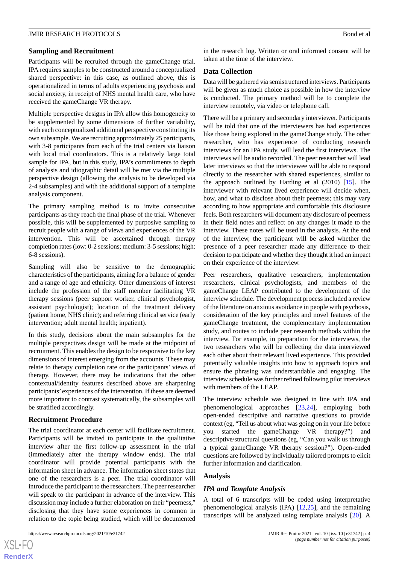#### **Sampling and Recruitment**

Participants will be recruited through the gameChange trial. IPA requires samples to be constructed around a conceptualized shared perspective: in this case, as outlined above, this is operationalized in terms of adults experiencing psychosis and social anxiety, in receipt of NHS mental health care, who have received the gameChange VR therapy.

Multiple perspective designs in IPA allow this homogeneity to be supplemented by some dimensions of further variability, with each conceptualized additional perspective constituting its own subsample. We are recruiting approximately 25 participants, with 3-8 participants from each of the trial centers via liaison with local trial coordinators. This is a relatively large total sample for IPA, but in this study, IPA's commitments to depth of analysis and idiographic detail will be met via the multiple perspective design (allowing the analysis to be developed via 2-4 subsamples) and with the additional support of a template analysis component.

The primary sampling method is to invite consecutive participants as they reach the final phase of the trial. Whenever possible, this will be supplemented by purposive sampling to recruit people with a range of views and experiences of the VR intervention. This will be ascertained through therapy completion rates (low: 0-2 sessions; medium: 3-5 sessions; high: 6-8 sessions).

Sampling will also be sensitive to the demographic characteristics of the participants, aiming for a balance of gender and a range of age and ethnicity. Other dimensions of interest include the profession of the staff member facilitating VR therapy sessions (peer support worker, clinical psychologist, assistant psychologist); location of the treatment delivery (patient home, NHS clinic); and referring clinical service (early intervention; adult mental health; inpatient).

In this study, decisions about the main subsamples for the multiple perspectives design will be made at the midpoint of recruitment. This enables the design to be responsive to the key dimensions of interest emerging from the accounts. These may relate to therapy completion rate or the participants' views of therapy. However, there may be indications that the other contextual/identity features described above are sharpening participants' experiences of the intervention. If these are deemed more important to contrast systematically, the subsamples will be stratified accordingly.

#### **Recruitment Procedure**

The trial coordinator at each center will facilitate recruitment. Participants will be invited to participate in the qualitative interview after the first follow-up assessment in the trial (immediately after the therapy window ends). The trial coordinator will provide potential participants with the information sheet in advance. The information sheet states that one of the researchers is a peer. The trial coordinator will introduce the participant to the researchers. The peer researcher will speak to the participant in advance of the interview. This discussion may include a further elaboration on their "peerness," disclosing that they have some experiences in common in relation to the topic being studied, which will be documented

in the research log. Written or oral informed consent will be taken at the time of the interview.

#### **Data Collection**

Data will be gathered via semistructured interviews. Participants will be given as much choice as possible in how the interview is conducted. The primary method will be to complete the interview remotely, via video or telephone call.

There will be a primary and secondary interviewer. Participants will be told that one of the interviewers has had experiences like those being explored in the gameChange study. The other researcher, who has experience of conducting research interviews for an IPA study, will lead the first interviews. The interviews will be audio recorded. The peer researcher will lead later interviews so that the interviewee will be able to respond directly to the researcher with shared experiences, similar to the approach outlined by Harding et al (2010) [[15\]](#page-6-11). The interviewer with relevant lived experience will decide when, how, and what to disclose about their peerness; this may vary according to how appropriate and comfortable this disclosure feels. Both researchers will document any disclosure of peerness in their field notes and reflect on any changes it made to the interview. These notes will be used in the analysis. At the end of the interview, the participant will be asked whether the presence of a peer researcher made any difference to their decision to participate and whether they thought it had an impact on their experience of the interview.

Peer researchers, qualitative researchers, implementation researchers, clinical psychologists, and members of the gameChange LEAP contributed to the development of the interview schedule. The development process included a review of the literature on anxious avoidance in people with psychosis, consideration of the key principles and novel features of the gameChange treatment, the complementary implementation study, and routes to include peer research methods within the interview. For example, in preparation for the interviews, the two researchers who will be collecting the data interviewed each other about their relevant lived experience. This provided potentially valuable insights into how to approach topics and ensure the phrasing was understandable and engaging. The interview schedule was further refined following pilot interviews with members of the LEAP.

The interview schedule was designed in line with IPA and phenomenological approaches [[23](#page-6-19)[,24](#page-6-20)], employing both open-ended descriptive and narrative questions to provide context (eg, "Tell us about what was going on in your life before you started the gameChange VR therapy?") and descriptive/structural questions (eg, "Can you walk us through a typical gameChange VR therapy session?"). Open-ended questions are followed by individually tailored prompts to elicit further information and clarification.

#### **Analysis**

#### *IPA and Template Analysis*

A total of 6 transcripts will be coded using interpretative phenomenological analysis (IPA) [\[12](#page-6-8),[25\]](#page-7-0), and the remaining transcripts will be analyzed using template analysis [[20\]](#page-6-16). A

 $XSJ \cdot F$ **[RenderX](http://www.renderx.com/)**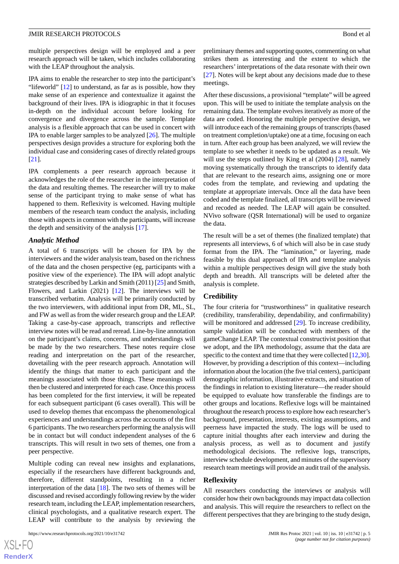multiple perspectives design will be employed and a peer research approach will be taken, which includes collaborating with the LEAP throughout the analysis.

IPA aims to enable the researcher to step into the participant's "lifeworld" [[12\]](#page-6-8) to understand, as far as is possible, how they make sense of an experience and contextualize it against the background of their lives. IPA is idiographic in that it focuses in-depth on the individual account before looking for convergence and divergence across the sample. Template analysis is a flexible approach that can be used in concert with IPA to enable larger samples to be analyzed [\[26](#page-7-1)]. The multiple perspectives design provides a structure for exploring both the individual case and considering cases of directly related groups [[21\]](#page-6-17).

IPA complements a peer research approach because it acknowledges the role of the researcher in the interpretation of the data and resulting themes. The researcher will try to make sense of the participant trying to make sense of what has happened to them. Reflexivity is welcomed. Having multiple members of the research team conduct the analysis, including those with aspects in common with the participants, will increase the depth and sensitivity of the analysis [[17\]](#page-6-13).

#### *Analytic Method*

A total of 6 transcripts will be chosen for IPA by the interviewers and the wider analysis team, based on the richness of the data and the chosen perspective (eg, participants with a positive view of the experience). The IPA will adopt analytic strategies described by Larkin and Smith (2011) [\[25](#page-7-0)] and Smith, Flowers, and Larkin (2021) [[12\]](#page-6-8). The interviews will be transcribed verbatim. Analysis will be primarily conducted by the two interviewers, with additional input from DR, ML, SL, and FW as well as from the wider research group and the LEAP. Taking a case-by-case approach, transcripts and reflective interview notes will be read and reread. Line-by-line annotation on the participant's claims, concerns, and understandings will be made by the two researchers. These notes require close reading and interpretation on the part of the researcher, dovetailing with the peer research approach. Annotation will identify the things that matter to each participant and the meanings associated with those things. These meanings will then be clustered and interpreted for each case. Once this process has been completed for the first interview, it will be repeated for each subsequent participant (6 cases overall). This will be used to develop themes that encompass the phenomenological experiences and understandings across the accounts of the first 6 participants. The two researchers performing the analysis will be in contact but will conduct independent analyses of the 6 transcripts. This will result in two sets of themes, one from a peer perspective.

Multiple coding can reveal new insights and explanations, especially if the researchers have different backgrounds and, therefore, different standpoints, resulting in a richer interpretation of the data [\[18](#page-6-15)]. The two sets of themes will be discussed and revised accordingly following review by the wider research team, including the LEAP, implementation researchers, clinical psychologists, and a qualitative research expert. The LEAP will contribute to the analysis by reviewing the

preliminary themes and supporting quotes, commenting on what strikes them as interesting and the extent to which the researchers' interpretations of the data resonate with their own [[27\]](#page-7-2). Notes will be kept about any decisions made due to these meetings.

After these discussions, a provisional "template" will be agreed upon. This will be used to initiate the template analysis on the remaining data. The template evolves iteratively as more of the data are coded. Honoring the multiple perspective design, we will introduce each of the remaining groups of transcripts (based on treatment completion/uptake) one at a time, focusing on each in turn. After each group has been analyzed, we will review the template to see whether it needs to be updated as a result. We will use the steps outlined by King et al  $(2004)$  [\[28](#page-7-3)], namely moving systematically through the transcripts to identify data that are relevant to the research aims, assigning one or more codes from the template, and reviewing and updating the template at appropriate intervals. Once all the data have been coded and the template finalized, all transcripts will be reviewed and recoded as needed. The LEAP will again be consulted. NVivo software (QSR International) will be used to organize the data.

The result will be a set of themes (the finalized template) that represents all interviews, 6 of which will also be in case study format from the IPA. The "lamination," or layering, made feasible by this dual approach of IPA and template analysis within a multiple perspectives design will give the study both depth and breadth. All transcripts will be deleted after the analysis is complete.

#### **Credibility**

The four criteria for "trustworthiness" in qualitative research (credibility, transferability, dependability, and confirmability) will be monitored and addressed [[29\]](#page-7-4). To increase credibility, sample validation will be conducted with members of the gameChange LEAP. The contextual constructivist position that we adopt, and the IPA methodology, assume that the data are specific to the context and time that they were collected [[12,](#page-6-8)[30](#page-7-5)]. However, by providing a description of this context—including information about the location (the five trial centers), participant demographic information, illustrative extracts, and situation of the findings in relation to existing literature—the reader should be equipped to evaluate how transferable the findings are to other groups and locations. Reflexive logs will be maintained throughout the research process to explore how each researcher's background, presentation, interests, existing assumptions, and peerness have impacted the study. The logs will be used to capture initial thoughts after each interview and during the analysis process, as well as to document and justify methodological decisions. The reflexive logs, transcripts, interview schedule development, and minutes of the supervisory research team meetings will provide an audit trail of the analysis.

#### **Reflexivity**

All researchers conducting the interviews or analysis will consider how their own backgrounds may impact data collection and analysis. This will require the researchers to reflect on the different perspectives that they are bringing to the study design,

 $XS$ -FO **[RenderX](http://www.renderx.com/)**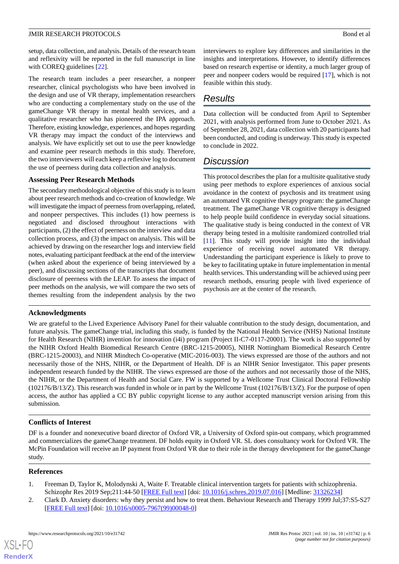setup, data collection, and analysis. Details of the research team and reflexivity will be reported in the full manuscript in line with COREQ guidelines [\[22](#page-6-18)].

The research team includes a peer researcher, a nonpeer researcher, clinical psychologists who have been involved in the design and use of VR therapy, implementation researchers who are conducting a complementary study on the use of the gameChange VR therapy in mental health services, and a qualitative researcher who has pioneered the IPA approach. Therefore, existing knowledge, experiences, and hopes regarding VR therapy may impact the conduct of the interviews and analysis. We have explicitly set out to use the peer knowledge and examine peer research methods in this study. Therefore, the two interviewers will each keep a reflexive log to document the use of peerness during data collection and analysis.

#### **Assessing Peer Research Methods**

The secondary methodological objective of this study is to learn about peer research methods and co-creation of knowledge. We will investigate the impact of peerness from overlapping, related, and nonpeer perspectives. This includes (1) how peerness is negotiated and disclosed throughout interactions with participants, (2) the effect of peerness on the interview and data collection process, and (3) the impact on analysis. This will be achieved by drawing on the researcher logs and interview field notes, evaluating participant feedback at the end of the interview (when asked about the experience of being interviewed by a peer), and discussing sections of the transcripts that document disclosure of peerness with the LEAP. To assess the impact of peer methods on the analysis, we will compare the two sets of themes resulting from the independent analysis by the two

#### **Acknowledgments**

interviewers to explore key differences and similarities in the insights and interpretations. However, to identify differences based on research expertise or identity, a much larger group of peer and nonpeer coders would be required [\[17](#page-6-13)], which is not feasible within this study.

# *Results*

Data collection will be conducted from April to September 2021, with analysis performed from June to October 2021. As of September 28, 2021, data collection with 20 participants had been conducted, and coding is underway. This study is expected to conclude in 2022.

## *Discussion*

This protocol describes the plan for a multisite qualitative study using peer methods to explore experiences of anxious social avoidance in the context of psychosis and its treatment using an automated VR cognitive therapy program: the gameChange treatment. The gameChange VR cognitive therapy is designed to help people build confidence in everyday social situations. The qualitative study is being conducted in the context of VR therapy being tested in a multisite randomized controlled trial [[11\]](#page-6-7). This study will provide insight into the individual experience of receiving novel automated VR therapy. Understanding the participant experience is likely to prove to be key to facilitating uptake in future implementation in mental health services. This understanding will be achieved using peer research methods, ensuring people with lived experience of psychosis are at the center of the research.

We are grateful to the Lived Experience Advisory Panel for their valuable contribution to the study design, documentation, and future analysis. The gameChange trial, including this study, is funded by the National Health Service (NHS) National Institute for Health Research (NIHR) invention for innovation (i4i) program (Project II-C7-0117-20001). The work is also supported by the NIHR Oxford Health Biomedical Research Centre (BRC-1215-20005), NIHR Nottingham Biomedical Research Centre (BRC-1215-20003), and NIHR Mindtech Co-operative (MIC-2016-003). The views expressed are those of the authors and not necessarily those of the NHS, NIHR, or the Department of Health. DF is an NIHR Senior Investigator. This paper presents independent research funded by the NIHR. The views expressed are those of the authors and not necessarily those of the NHS, the NIHR, or the Department of Health and Social Care. FW is supported by a Wellcome Trust Clinical Doctoral Fellowship (102176/B/13/Z). This research was funded in whole or in part by the Wellcome Trust (102176/B/13/Z). For the purpose of open access, the author has applied a CC BY public copyright license to any author accepted manuscript version arising from this submission.

#### **Conflicts of Interest**

<span id="page-5-1"></span><span id="page-5-0"></span>DF is a founder and nonexecutive board director of Oxford VR, a University of Oxford spin-out company, which programmed and commercializes the gameChange treatment. DF holds equity in Oxford VR. SL does consultancy work for Oxford VR. The McPin Foundation will receive an IP payment from Oxford VR due to their role in the therapy development for the gameChange study.

#### **References**

[XSL](http://www.w3.org/Style/XSL)•FO **[RenderX](http://www.renderx.com/)**

- 1. Freeman D, Taylor K, Molodynski A, Waite F. Treatable clinical intervention targets for patients with schizophrenia. Schizophr Res 2019 Sep;211:44-50 [\[FREE Full text\]](https://linkinghub.elsevier.com/retrieve/pii/S0920-9964(19)30294-4) [doi: [10.1016/j.schres.2019.07.016\]](http://dx.doi.org/10.1016/j.schres.2019.07.016) [Medline: [31326234\]](http://www.ncbi.nlm.nih.gov/entrez/query.fcgi?cmd=Retrieve&db=PubMed&list_uids=31326234&dopt=Abstract)
- 2. Clark D. Anxiety disorders: why they persist and how to treat them. Behaviour Research and Therapy 1999 Jul;37:S5-S27 [[FREE Full text](https://doi.org/10.1016/S0005-7967(99)00048-0)] [doi: [10.1016/s0005-7967\(99\)00048-0\]](http://dx.doi.org/10.1016/s0005-7967(99)00048-0)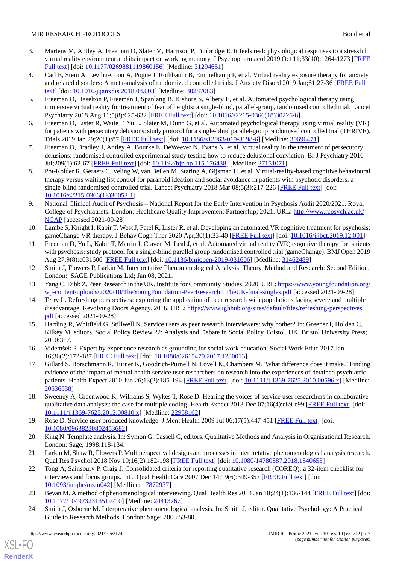- <span id="page-6-0"></span>3. Martens M, Antley A, Freeman D, Slater M, Harrison P, Tunbridge E. It feels real: physiological responses to a stressful virtual reality environment and its impact on working memory. J Psychopharmacol 2019 Oct 11;33(10):1264-1273 [\[FREE](https://journals.sagepub.com/doi/10.1177/0269881119860156?url_ver=Z39.88-2003&rfr_id=ori:rid:crossref.org&rfr_dat=cr_pub%3dpubmed) [Full text\]](https://journals.sagepub.com/doi/10.1177/0269881119860156?url_ver=Z39.88-2003&rfr_id=ori:rid:crossref.org&rfr_dat=cr_pub%3dpubmed) [doi: [10.1177/0269881119860156](http://dx.doi.org/10.1177/0269881119860156)] [Medline: [31294651](http://www.ncbi.nlm.nih.gov/entrez/query.fcgi?cmd=Retrieve&db=PubMed&list_uids=31294651&dopt=Abstract)]
- <span id="page-6-1"></span>4. Carl E, Stein A, Levihn-Coon A, Pogue J, Rothbaum B, Emmelkamp P, et al. Virtual reality exposure therapy for anxiety and related disorders: A meta-analysis of randomized controlled trials. J Anxiety Disord 2019 Jan;61:27-36 [\[FREE Full](https://doi.org/10.1016/j.janxdis.2018.08.003) [text](https://doi.org/10.1016/j.janxdis.2018.08.003)] [doi: [10.1016/j.janxdis.2018.08.003](http://dx.doi.org/10.1016/j.janxdis.2018.08.003)] [Medline: [30287083](http://www.ncbi.nlm.nih.gov/entrez/query.fcgi?cmd=Retrieve&db=PubMed&list_uids=30287083&dopt=Abstract)]
- <span id="page-6-2"></span>5. Freeman D, Haselton P, Freeman J, Spanlang B, Kishore S, Albery E, et al. Automated psychological therapy using immersive virtual reality for treatment of fear of heights: a single-blind, parallel-group, randomised controlled trial. Lancet Psychiatry 2018 Aug 11;5(8):625-632 [[FREE Full text](https://doi.org/10.1016/S2215-0366(18)30226-8)] [doi: [10.1016/s2215-0366\(18\)30226-8\]](http://dx.doi.org/10.1016/s2215-0366(18)30226-8)
- <span id="page-6-3"></span>6. Freeman D, Lister R, Waite F, Yu L, Slater M, Dunn G, et al. Automated psychological therapy using virtual reality (VR) for patients with persecutory delusions: study protocol for a single-blind parallel-group randomised controlled trial (THRIVE). Trials 2019 Jan 29;20(1):87 [\[FREE Full text\]](https://trialsjournal.biomedcentral.com/articles/10.1186/s13063-019-3198-6) [doi: [10.1186/s13063-019-3198-6](http://dx.doi.org/10.1186/s13063-019-3198-6)] [Medline: [30696471\]](http://www.ncbi.nlm.nih.gov/entrez/query.fcgi?cmd=Retrieve&db=PubMed&list_uids=30696471&dopt=Abstract)
- <span id="page-6-4"></span>7. Freeman D, Bradley J, Antley A, Bourke E, DeWeever N, Evans N, et al. Virtual reality in the treatment of persecutory delusions: randomised controlled experimental study testing how to reduce delusional conviction. Br J Psychiatry 2016 Jul;209(1):62-67 [[FREE Full text\]](http://europepmc.org/abstract/MED/27151071) [doi: [10.1192/bjp.bp.115.176438\]](http://dx.doi.org/10.1192/bjp.bp.115.176438) [Medline: [27151071\]](http://www.ncbi.nlm.nih.gov/entrez/query.fcgi?cmd=Retrieve&db=PubMed&list_uids=27151071&dopt=Abstract)
- <span id="page-6-5"></span>8. Pot-Kolder R, Geraets C, Veling W, van Beilen M, Staring A, Gijsman H, et al. Virtual-reality-based cognitive behavioural therapy versus waiting list control for paranoid ideation and social avoidance in patients with psychotic disorders: a single-blind randomised controlled trial. Lancet Psychiatry 2018 Mar 08:5(3):217-226 [[FREE Full text](https://doi.org/10.1016/S2215-0366(18)30053-1)] [doi: [10.1016/s2215-0366\(18\)30053-1](http://dx.doi.org/10.1016/s2215-0366(18)30053-1)]
- <span id="page-6-6"></span>9. National Clinical Audit of Psychosis – National Report for the Early Intervention in Psychosis Audit 2020/2021. Royal College of Psychiatrists. London: Healthcare Quality Improvement Partnership; 2021. URL: [http://www.rcpsych.ac.uk/](http://www.rcpsych.ac.uk/NCAP) [NCAP](http://www.rcpsych.ac.uk/NCAP) [accessed 2021-09-28]
- <span id="page-6-7"></span>10. Lambe S, Knight I, Kabir T, West J, Patel R, Lister R, et al. Developing an automated VR cognitive treatment for psychosis: gameChange VR therapy. J Behav Cogn Ther 2020 Apr;30(1):33-40 [\[FREE Full text](https://doi.org/10.1016/j.jbct.2019.12.001)] [doi: [10.1016/j.jbct.2019.12.001\]](http://dx.doi.org/10.1016/j.jbct.2019.12.001)
- <span id="page-6-8"></span>11. Freeman D, Yu L, Kabir T, Martin J, Craven M, Leal J, et al. Automated virtual reality (VR) cognitive therapy for patients with psychosis: study protocol for a single-blind parallel group randomised controlled trial (gameChange). BMJ Open 2019 Aug 27;9(8):e031606 [[FREE Full text](https://bmjopen.bmj.com/lookup/pmidlookup?view=long&pmid=31462489)] [doi: [10.1136/bmjopen-2019-031606](http://dx.doi.org/10.1136/bmjopen-2019-031606)] [Medline: [31462489](http://www.ncbi.nlm.nih.gov/entrez/query.fcgi?cmd=Retrieve&db=PubMed&list_uids=31462489&dopt=Abstract)]
- <span id="page-6-10"></span><span id="page-6-9"></span>12. Smith J, Flowers P, Larkin M. Interpretative Phenomenological Analysis: Theory, Method and Research: Second Edition. London: SAGE Publications Ltd; Jan 08, 2021.
- <span id="page-6-11"></span>13. Yang C, Dibb Z. Peer Research in the UK. Institute for Community Studies. 2020. URL: [https://www.youngfoundation.org/](https://www.youngfoundation.org/wp-content/uploads/2020/10/TheYoungFoundation-PeerResearchInTheUK-final-singles.pdf) [wp-content/uploads/2020/10/TheYoungFoundation-PeerResearchInTheUK-final-singles.pdf](https://www.youngfoundation.org/wp-content/uploads/2020/10/TheYoungFoundation-PeerResearchInTheUK-final-singles.pdf) [accessed 2021-09-28]
- 14. Terry L. Refreshing perspectives: exploring the application of peer research with populations facing severe and multiple disadvantage. Revolving Doors Agency. 2016. URL: [https://www.ighhub.org/sites/default/files/refreshing-perspectives.](https://www.ighhub.org/sites/default/files/refreshing-perspectives.pdf) [pdf](https://www.ighhub.org/sites/default/files/refreshing-perspectives.pdf) [accessed 2021-09-28]
- <span id="page-6-13"></span><span id="page-6-12"></span>15. Harding R, Whitfield G, Stillwell N. Service users as peer research interviewers: why bother? In: Greener I, Holden C, Kilkey M, editors. Social Policy Review 22: Analysis and Debate in Social Policy. Bristol, UK: Bristol University Press; 2010:317.
- 16. Videmšek P. Expert by experience research as grounding for social work education. Social Work Educ 2017 Jan 16;36(2):172-187 [[FREE Full text](https://doi.org/10.1080/02615479.2017.1280013)] [doi: [10.1080/02615479.2017.1280013\]](http://dx.doi.org/10.1080/02615479.2017.1280013)
- <span id="page-6-15"></span><span id="page-6-14"></span>17. Gillard S, Borschmann R, Turner K, Goodrich-Purnell N, Lovell K, Chambers M. 'What difference does it make?' Finding evidence of the impact of mental health service user researchers on research into the experiences of detained psychiatric patients. Health Expect 2010 Jun 26;13(2):185-194 [\[FREE Full text\]](http://europepmc.org/abstract/MED/20536538) [doi: [10.1111/j.1369-7625.2010.00596.x](http://dx.doi.org/10.1111/j.1369-7625.2010.00596.x)] [Medline: [20536538](http://www.ncbi.nlm.nih.gov/entrez/query.fcgi?cmd=Retrieve&db=PubMed&list_uids=20536538&dopt=Abstract)]
- <span id="page-6-17"></span><span id="page-6-16"></span>18. Sweeney A, Greenwood K, Williams S, Wykes T, Rose D. Hearing the voices of service user researchers in collaborative qualitative data analysis: the case for multiple coding. Health Expect 2013 Dec 07;16(4):e89-e99 [[FREE Full text](https://doi.org/10.1111/j.1369-7625.2012.00810.x)] [doi: [10.1111/j.1369-7625.2012.00810.x\]](http://dx.doi.org/10.1111/j.1369-7625.2012.00810.x) [Medline: [22958162\]](http://www.ncbi.nlm.nih.gov/entrez/query.fcgi?cmd=Retrieve&db=PubMed&list_uids=22958162&dopt=Abstract)
- <span id="page-6-18"></span>19. Rose D. Service user produced knowledge. J Ment Health 2009 Jul 06;17(5):447-451 [\[FREE Full text\]](https://doi.org/10.1080/09638230802453682) [doi: [10.1080/09638230802453682\]](http://dx.doi.org/10.1080/09638230802453682)
- <span id="page-6-19"></span>20. King N. Template analysis. In: Symon G, Cassell C, editors. Qualitative Methods and Analysis in Organisational Research. London: Sage; 1998:118-134.
- <span id="page-6-20"></span>21. Larkin M, Shaw R, Flowers P. Multiperspectival designs and processes in interpretative phenomenological analysis research. Qual Res Psychol 2018 Nov 19;16(2):182-198 [[FREE Full text](https://doi.org/10.1080/14780887.2018.1540655)] [doi: [10.1080/14780887.2018.1540655\]](http://dx.doi.org/10.1080/14780887.2018.1540655)
- 22. Tong A, Sainsbury P, Craig J. Consolidated criteria for reporting qualitative research (COREQ): a 32-item checklist for interviews and focus groups. Int J Qual Health Care 2007 Dec 14;19(6):349-357 [[FREE Full text](https://doi.org/10.1093/intqhc/mzm042)] [doi: [10.1093/intqhc/mzm042\]](http://dx.doi.org/10.1093/intqhc/mzm042) [Medline: [17872937](http://www.ncbi.nlm.nih.gov/entrez/query.fcgi?cmd=Retrieve&db=PubMed&list_uids=17872937&dopt=Abstract)]
- 23. Bevan M. A method of phenomenological interviewing. Qual Health Res 2014 Jan 10;24(1):136-144 [\[FREE Full text\]](https://doi.org/10.1177/1049732313519710) [doi: [10.1177/1049732313519710\]](http://dx.doi.org/10.1177/1049732313519710) [Medline: [24413767\]](http://www.ncbi.nlm.nih.gov/entrez/query.fcgi?cmd=Retrieve&db=PubMed&list_uids=24413767&dopt=Abstract)
- 24. Smith J, Osborne M. Interpretative phenomenological analysis. In: Smith J, editor. Qualitative Psychology: A Practical Guide to Research Methods. London: Sage; 2008:53-80.

[XSL](http://www.w3.org/Style/XSL)•FO **[RenderX](http://www.renderx.com/)**